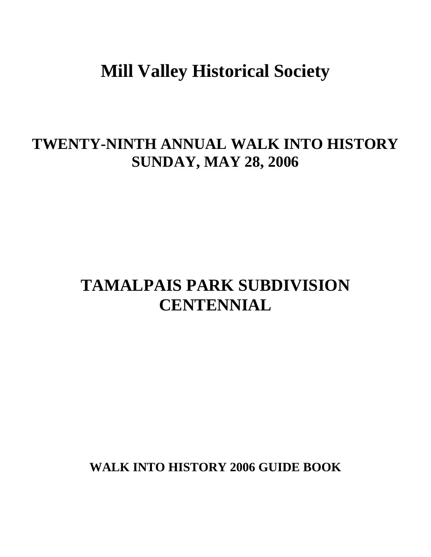# **Mill Valley Historical Society**

# **TWENTY-NINTH ANNUAL WALK INTO HISTORY SUNDAY, MAY 28, 2006**

# **TAMALPAIS PARK SUBDIVISION CENTENNIAL**

**WALK INTO HISTORY 2006 GUIDE BOOK**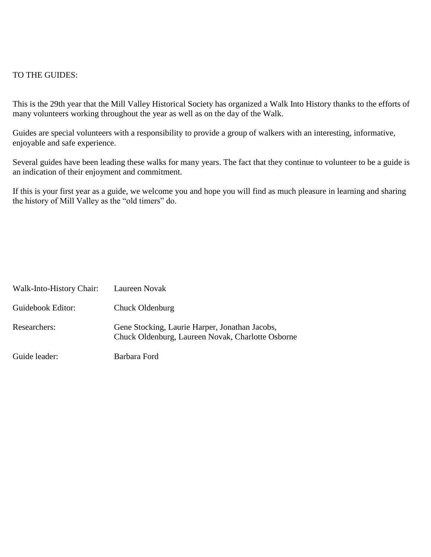#### TO THE GUIDES:

This is the 29th year that the Mill Valley Historical Society has organized a Walk Into History thanks to the efforts of many volunteers working throughout the year as well as on the day of the Walk.

Guides are special volunteers with a responsibility to provide a group of walkers with an interesting, informative, enjoyable and safe experience.

Several guides have been leading these walks for many years. The fact that they continue to volunteer to be a guide is an indication of their enjoyment and commitment.

If this is your first year as a guide, we welcome you and hope you will find as much pleasure in learning and sharing the history of Mill Valley as the "old timers" do.

| Walk-Into-History Chair: | Laureen Novak                                                                                       |
|--------------------------|-----------------------------------------------------------------------------------------------------|
| Guidebook Editor:        | Chuck Oldenburg                                                                                     |
| Researchers:             | Gene Stocking, Laurie Harper, Jonathan Jacobs,<br>Chuck Oldenburg, Laureen Novak, Charlotte Osborne |
| Guide leader:            | Barbara Ford                                                                                        |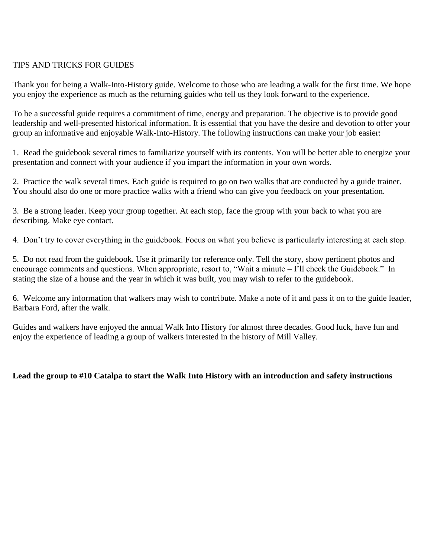# TIPS AND TRICKS FOR GUIDES

Thank you for being a Walk-Into-History guide. Welcome to those who are leading a walk for the first time. We hope you enjoy the experience as much as the returning guides who tell us they look forward to the experience.

To be a successful guide requires a commitment of time, energy and preparation. The objective is to provide good leadership and well-presented historical information. It is essential that you have the desire and devotion to offer your group an informative and enjoyable Walk-Into-History. The following instructions can make your job easier:

1. Read the guidebook several times to familiarize yourself with its contents. You will be better able to energize your presentation and connect with your audience if you impart the information in your own words.

2. Practice the walk several times. Each guide is required to go on two walks that are conducted by a guide trainer. You should also do one or more practice walks with a friend who can give you feedback on your presentation.

3. Be a strong leader. Keep your group together. At each stop, face the group with your back to what you are describing. Make eye contact.

4. Don't try to cover everything in the guidebook. Focus on what you believe is particularly interesting at each stop.

5. Do not read from the guidebook. Use it primarily for reference only. Tell the story, show pertinent photos and encourage comments and questions. When appropriate, resort to, "Wait a minute – I'll check the Guidebook." In stating the size of a house and the year in which it was built, you may wish to refer to the guidebook.

6. Welcome any information that walkers may wish to contribute. Make a note of it and pass it on to the guide leader, Barbara Ford, after the walk.

Guides and walkers have enjoyed the annual Walk Into History for almost three decades. Good luck, have fun and enjoy the experience of leading a group of walkers interested in the history of Mill Valley.

**Lead the group to #10 Catalpa to start the Walk Into History with an introduction and safety instructions**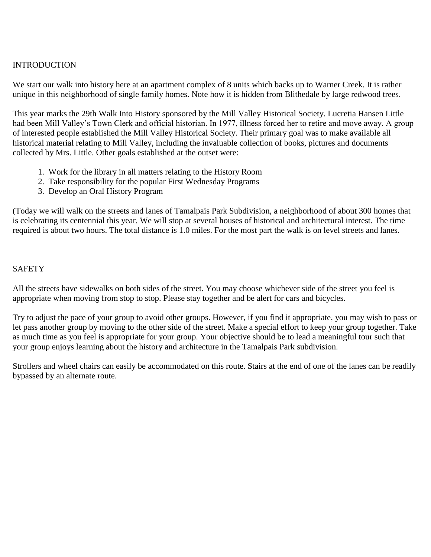# INTRODUCTION

We start our walk into history here at an apartment complex of 8 units which backs up to Warner Creek. It is rather unique in this neighborhood of single family homes. Note how it is hidden from Blithedale by large redwood trees.

This year marks the 29th Walk Into History sponsored by the Mill Valley Historical Society. Lucretia Hansen Little had been Mill Valley's Town Clerk and official historian. In 1977, illness forced her to retire and move away. A group of interested people established the Mill Valley Historical Society. Their primary goal was to make available all historical material relating to Mill Valley, including the invaluable collection of books, pictures and documents collected by Mrs. Little. Other goals established at the outset were:

- 1. Work for the library in all matters relating to the History Room
- 2. Take responsibility for the popular First Wednesday Programs
- 3. Develop an Oral History Program

(Today we will walk on the streets and lanes of Tamalpais Park Subdivision, a neighborhood of about 300 homes that is celebrating its centennial this year. We will stop at several houses of historical and architectural interest. The time required is about two hours. The total distance is 1.0 miles. For the most part the walk is on level streets and lanes.

# **SAFETY**

All the streets have sidewalks on both sides of the street. You may choose whichever side of the street you feel is appropriate when moving from stop to stop. Please stay together and be alert for cars and bicycles.

Try to adjust the pace of your group to avoid other groups. However, if you find it appropriate, you may wish to pass or let pass another group by moving to the other side of the street. Make a special effort to keep your group together. Take as much time as you feel is appropriate for your group. Your objective should be to lead a meaningful tour such that your group enjoys learning about the history and architecture in the Tamalpais Park subdivision.

Strollers and wheel chairs can easily be accommodated on this route. Stairs at the end of one of the lanes can be readily bypassed by an alternate route.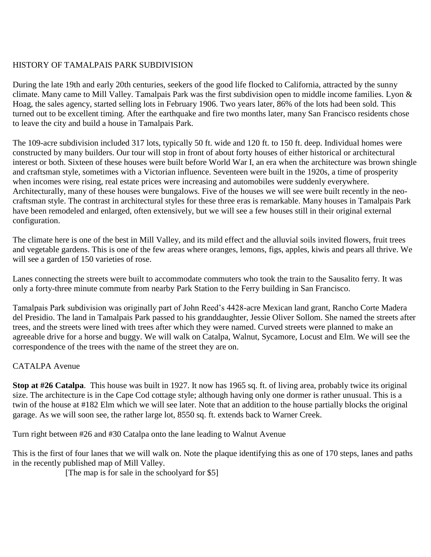# HISTORY OF TAMALPAIS PARK SUBDIVISION

During the late 19th and early 20th centuries, seekers of the good life flocked to California, attracted by the sunny climate. Many came to Mill Valley. Tamalpais Park was the first subdivision open to middle income families. Lyon & Hoag, the sales agency, started selling lots in February 1906. Two years later, 86% of the lots had been sold. This turned out to be excellent timing. After the earthquake and fire two months later, many San Francisco residents chose to leave the city and build a house in Tamalpais Park.

The 109-acre subdivision included 317 lots, typically 50 ft. wide and 120 ft. to 150 ft. deep. Individual homes were constructed by many builders. Our tour will stop in front of about forty houses of either historical or architectural interest or both. Sixteen of these houses were built before World War I, an era when the architecture was brown shingle and craftsman style, sometimes with a Victorian influence. Seventeen were built in the 1920s, a time of prosperity when incomes were rising, real estate prices were increasing and automobiles were suddenly everywhere. Architecturally, many of these houses were bungalows. Five of the houses we will see were built recently in the neocraftsman style. The contrast in architectural styles for these three eras is remarkable. Many houses in Tamalpais Park have been remodeled and enlarged, often extensively, but we will see a few houses still in their original external configuration.

The climate here is one of the best in Mill Valley, and its mild effect and the alluvial soils invited flowers, fruit trees and vegetable gardens. This is one of the few areas where oranges, lemons, figs, apples, kiwis and pears all thrive. We will see a garden of 150 varieties of rose.

Lanes connecting the streets were built to accommodate commuters who took the train to the Sausalito ferry. It was only a forty-three minute commute from nearby Park Station to the Ferry building in San Francisco.

Tamalpais Park subdivision was originally part of John Reed's 4428-acre Mexican land grant, Rancho Corte Madera del Presidio. The land in Tamalpais Park passed to his granddaughter, Jessie Oliver Sollom. She named the streets after trees, and the streets were lined with trees after which they were named. Curved streets were planned to make an agreeable drive for a horse and buggy. We will walk on Catalpa, Walnut, Sycamore, Locust and Elm. We will see the correspondence of the trees with the name of the street they are on.

# CATALPA Avenue

**Stop at #26 Catalpa**. This house was built in 1927. It now has 1965 sq. ft. of living area, probably twice its original size. The architecture is in the Cape Cod cottage style; although having only one dormer is rather unusual. This is a twin of the house at #182 Elm which we will see later. Note that an addition to the house partially blocks the original garage. As we will soon see, the rather large lot, 8550 sq. ft. extends back to Warner Creek.

Turn right between #26 and #30 Catalpa onto the lane leading to Walnut Avenue

This is the first of four lanes that we will walk on. Note the plaque identifying this as one of 170 steps, lanes and paths in the recently published map of Mill Valley.

[The map is for sale in the schoolyard for \$5]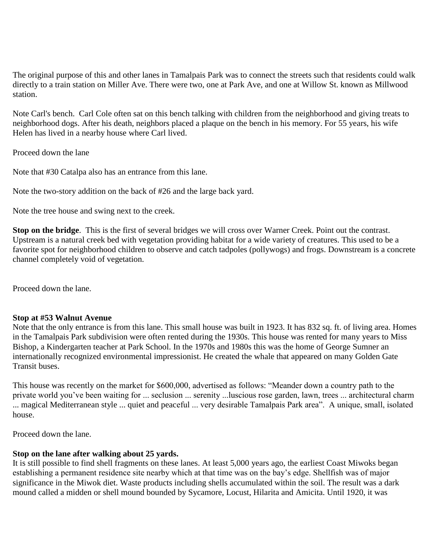The original purpose of this and other lanes in Tamalpais Park was to connect the streets such that residents could walk directly to a train station on Miller Ave. There were two, one at Park Ave, and one at Willow St. known as Millwood station.

Note Carl's bench. Carl Cole often sat on this bench talking with children from the neighborhood and giving treats to neighborhood dogs. After his death, neighbors placed a plaque on the bench in his memory. For 55 years, his wife Helen has lived in a nearby house where Carl lived.

Proceed down the lane

Note that #30 Catalpa also has an entrance from this lane.

Note the two-story addition on the back of #26 and the large back yard.

Note the tree house and swing next to the creek.

**Stop on the bridge**. This is the first of several bridges we will cross over Warner Creek. Point out the contrast. Upstream is a natural creek bed with vegetation providing habitat for a wide variety of creatures. This used to be a favorite spot for neighborhood children to observe and catch tadpoles (pollywogs) and frogs. Downstream is a concrete channel completely void of vegetation.

Proceed down the lane.

#### **Stop at #53 Walnut Avenue**

Note that the only entrance is from this lane. This small house was built in 1923. It has 832 sq. ft. of living area. Homes in the Tamalpais Park subdivision were often rented during the 1930s. This house was rented for many years to Miss Bishop, a Kindergarten teacher at Park School. In the 1970s and 1980s this was the home of George Sumner an internationally recognized environmental impressionist. He created the whale that appeared on many Golden Gate Transit buses.

This house was recently on the market for \$600,000, advertised as follows: "Meander down a country path to the private world you've been waiting for ... seclusion ... serenity ...luscious rose garden, lawn, trees ... architectural charm ... magical Mediterranean style ... quiet and peaceful ... very desirable Tamalpais Park area". A unique, small, isolated house.

Proceed down the lane.

#### **Stop on the lane after walking about 25 yards.**

It is still possible to find shell fragments on these lanes. At least 5,000 years ago, the earliest Coast Miwoks began establishing a permanent residence site nearby which at that time was on the bay's edge. Shellfish was of major significance in the Miwok diet. Waste products including shells accumulated within the soil. The result was a dark mound called a midden or shell mound bounded by Sycamore, Locust, Hilarita and Amicita. Until 1920, it was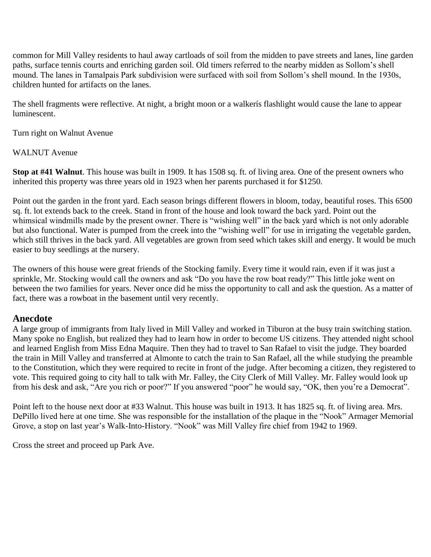common for Mill Valley residents to haul away cartloads of soil from the midden to pave streets and lanes, line garden paths, surface tennis courts and enriching garden soil. Old timers referred to the nearby midden as Sollom's shell mound. The lanes in Tamalpais Park subdivision were surfaced with soil from Sollom's shell mound. In the 1930s, children hunted for artifacts on the lanes.

The shell fragments were reflective. At night, a bright moon or a walkerís flashlight would cause the lane to appear luminescent.

Turn right on Walnut Avenue

# WALNUT Avenue

**Stop at #41 Walnut**. This house was built in 1909. It has 1508 sq. ft. of living area. One of the present owners who inherited this property was three years old in 1923 when her parents purchased it for \$1250.

Point out the garden in the front yard. Each season brings different flowers in bloom, today, beautiful roses. This 6500 sq. ft. lot extends back to the creek. Stand in front of the house and look toward the back yard. Point out the whimsical windmills made by the present owner. There is "wishing well" in the back yard which is not only adorable but also functional. Water is pumped from the creek into the "wishing well" for use in irrigating the vegetable garden, which still thrives in the back yard. All vegetables are grown from seed which takes skill and energy. It would be much easier to buy seedlings at the nursery.

The owners of this house were great friends of the Stocking family. Every time it would rain, even if it was just a sprinkle, Mr. Stocking would call the owners and ask "Do you have the row boat ready?" This little joke went on between the two families for years. Never once did he miss the opportunity to call and ask the question. As a matter of fact, there was a rowboat in the basement until very recently.

# **Anecdote**

A large group of immigrants from Italy lived in Mill Valley and worked in Tiburon at the busy train switching station. Many spoke no English, but realized they had to learn how in order to become US citizens. They attended night school and learned English from Miss Edna Maquire. Then they had to travel to San Rafael to visit the judge. They boarded the train in Mill Valley and transferred at Almonte to catch the train to San Rafael, all the while studying the preamble to the Constitution, which they were required to recite in front of the judge. After becoming a citizen, they registered to vote. This required going to city hall to talk with Mr. Falley, the City Clerk of Mill Valley. Mr. Falley would look up from his desk and ask, "Are you rich or poor?" If you answered "poor" he would say, "OK, then you're a Democrat".

Point left to the house next door at #33 Walnut. This house was built in 1913. It has 1825 sq. ft. of living area. Mrs. DePillo lived here at one time. She was responsible for the installation of the plaque in the "Nook" Armager Memorial Grove, a stop on last year's Walk-Into-History. "Nook" was Mill Valley fire chief from 1942 to 1969.

Cross the street and proceed up Park Ave.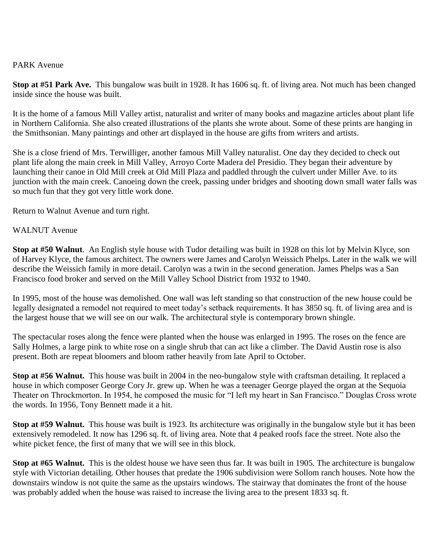## PARK Avenue

**Stop at #51 Park Ave.** This bungalow was built in 1928. It has 1606 sq. ft. of living area. Not much has been changed inside since the house was built.

It is the home of a famous Mill Valley artist, naturalist and writer of many books and magazine articles about plant life in Northern California. She also created illustrations of the plants she wrote about. Some of these prints are hanging in the Smithsonian. Many paintings and other art displayed in the house are gifts from writers and artists.

She is a close friend of Mrs. Terwilliger, another famous Mill Valley naturalist. One day they decided to check out plant life along the main creek in Mill Valley, Arroyo Corte Madera del Presidio. They began their adventure by launching their canoe in Old Mill creek at Old Mill Plaza and paddled through the culvert under Miller Ave. to its junction with the main creek. Canoeing down the creek, passing under bridges and shooting down small water falls was so much fun that they got very little work done.

Return to Walnut Avenue and turn right.

#### WALNUT Avenue

**Stop at #50 Walnut**. An English style house with Tudor detailing was built in 1928 on this lot by Melvin Klyce, son of Harvey Klyce, the famous architect. The owners were James and Carolyn Weissich Phelps. Later in the walk we will describe the Weissich family in more detail. Carolyn was a twin in the second generation. James Phelps was a San Francisco food broker and served on the Mill Valley School District from 1932 to 1940.

In 1995, most of the house was demolished. One wall was left standing so that construction of the new house could be legally designated a remodel not required to meet today's setback requirements. It has 3850 sq. ft. of living area and is the largest house that we will see on our walk. The architectural style is contemporary brown shingle.

The spectacular roses along the fence were planted when the house was enlarged in 1995. The roses on the fence are Sally Holmes, a large pink to white rose on a single shrub that can act like a climber. The David Austin rose is also present. Both are repeat bloomers and bloom rather heavily from late April to October.

**Stop at #56 Walnut.** This house was built in 2004 in the neo-bungalow style with craftsman detailing. It replaced a house in which composer George Cory Jr. grew up. When he was a teenager George played the organ at the Sequoia Theater on Throckmorton. In 1954, he composed the music for "I left my heart in San Francisco." Douglas Cross wrote the words. In 1956, Tony Bennett made it a hit.

**Stop at #59 Walnut.** This house was built is 1923. Its architecture was originally in the bungalow style but it has been extensively remodeled. It now has 1296 sq. ft. of living area. Note that 4 peaked roofs face the street. Note also the white picket fence, the first of many that we will see in this block.

**Stop at #65 Walnut.** This is the oldest house we have seen thus far. It was built in 1905. The architecture is bungalow style with Victorian detailing. Other houses that predate the 1906 subdivision were Sollom ranch houses. Note how the downstairs window is not quite the same as the upstairs windows. The stairway that dominates the front of the house was probably added when the house was raised to increase the living area to the present 1833 sq. ft.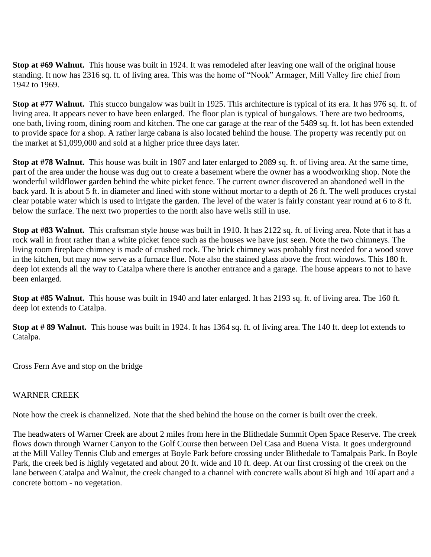**Stop at #69 Walnut.** This house was built in 1924. It was remodeled after leaving one wall of the original house standing. It now has 2316 sq. ft. of living area. This was the home of "Nook" Armager, Mill Valley fire chief from 1942 to 1969.

**Stop at #77 Walnut.** This stucco bungalow was built in 1925. This architecture is typical of its era. It has 976 sq. ft. of living area. It appears never to have been enlarged. The floor plan is typical of bungalows. There are two bedrooms, one bath, living room, dining room and kitchen. The one car garage at the rear of the 5489 sq. ft. lot has been extended to provide space for a shop. A rather large cabana is also located behind the house. The property was recently put on the market at \$1,099,000 and sold at a higher price three days later.

**Stop at #78 Walnut.** This house was built in 1907 and later enlarged to 2089 sq. ft. of living area. At the same time, part of the area under the house was dug out to create a basement where the owner has a woodworking shop. Note the wonderful wildflower garden behind the white picket fence. The current owner discovered an abandoned well in the back yard. It is about 5 ft. in diameter and lined with stone without mortar to a depth of 26 ft. The well produces crystal clear potable water which is used to irrigate the garden. The level of the water is fairly constant year round at 6 to 8 ft. below the surface. The next two properties to the north also have wells still in use.

**Stop at #83 Walnut.** This craftsman style house was built in 1910. It has 2122 sq. ft. of living area. Note that it has a rock wall in front rather than a white picket fence such as the houses we have just seen. Note the two chimneys. The living room fireplace chimney is made of crushed rock. The brick chimney was probably first needed for a wood stove in the kitchen, but may now serve as a furnace flue. Note also the stained glass above the front windows. This 180 ft. deep lot extends all the way to Catalpa where there is another entrance and a garage. The house appears to not to have been enlarged.

**Stop at #85 Walnut.** This house was built in 1940 and later enlarged. It has 2193 sq. ft. of living area. The 160 ft. deep lot extends to Catalpa.

**Stop at # 89 Walnut.** This house was built in 1924. It has 1364 sq. ft. of living area. The 140 ft. deep lot extends to Catalpa.

Cross Fern Ave and stop on the bridge

#### WARNER CREEK

Note how the creek is channelized. Note that the shed behind the house on the corner is built over the creek.

The headwaters of Warner Creek are about 2 miles from here in the Blithedale Summit Open Space Reserve. The creek flows down through Warner Canyon to the Golf Course then between Del Casa and Buena Vista. It goes underground at the Mill Valley Tennis Club and emerges at Boyle Park before crossing under Blithedale to Tamalpais Park. In Boyle Park, the creek bed is highly vegetated and about 20 ft. wide and 10 ft. deep. At our first crossing of the creek on the lane between Catalpa and Walnut, the creek changed to a channel with concrete walls about 8í high and 10í apart and a concrete bottom - no vegetation.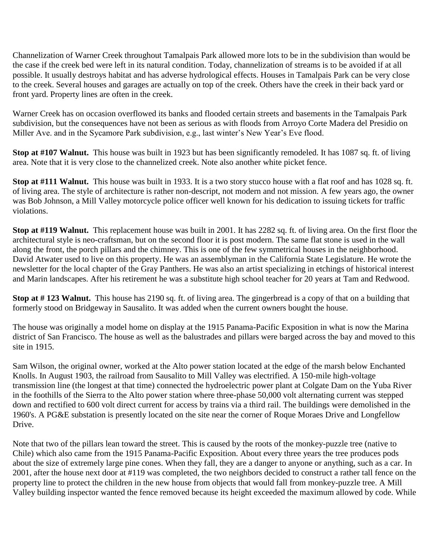Channelization of Warner Creek throughout Tamalpais Park allowed more lots to be in the subdivision than would be the case if the creek bed were left in its natural condition. Today, channelization of streams is to be avoided if at all possible. It usually destroys habitat and has adverse hydrological effects. Houses in Tamalpais Park can be very close to the creek. Several houses and garages are actually on top of the creek. Others have the creek in their back yard or front yard. Property lines are often in the creek.

Warner Creek has on occasion overflowed its banks and flooded certain streets and basements in the Tamalpais Park subdivision, but the consequences have not been as serious as with floods from Arroyo Corte Madera del Presidio on Miller Ave. and in the Sycamore Park subdivision, e.g., last winter's New Year's Eve flood.

**Stop at #107 Walnut.** This house was built in 1923 but has been significantly remodeled. It has 1087 sq. ft. of living area. Note that it is very close to the channelized creek. Note also another white picket fence.

**Stop at #111 Walnut.** This house was built in 1933. It is a two story stucco house with a flat roof and has 1028 sq. ft. of living area. The style of architecture is rather non-descript, not modern and not mission. A few years ago, the owner was Bob Johnson, a Mill Valley motorcycle police officer well known for his dedication to issuing tickets for traffic violations.

**Stop at #119 Walnut.** This replacement house was built in 2001. It has 2282 sq. ft. of living area. On the first floor the architectural style is neo-craftsman, but on the second floor it is post modern. The same flat stone is used in the wall along the front, the porch pillars and the chimney. This is one of the few symmetrical houses in the neighborhood. David Atwater used to live on this property. He was an assemblyman in the California State Legislature. He wrote the newsletter for the local chapter of the Gray Panthers. He was also an artist specializing in etchings of historical interest and Marin landscapes. After his retirement he was a substitute high school teacher for 20 years at Tam and Redwood.

**Stop at # 123 Walnut.** This house has 2190 sq. ft. of living area. The gingerbread is a copy of that on a building that formerly stood on Bridgeway in Sausalito. It was added when the current owners bought the house.

The house was originally a model home on display at the 1915 Panama-Pacific Exposition in what is now the Marina district of San Francisco. The house as well as the balustrades and pillars were barged across the bay and moved to this site in 1915.

Sam Wilson, the original owner, worked at the Alto power station located at the edge of the marsh below Enchanted Knolls. In August 1903, the railroad from Sausalito to Mill Valley was electrified. A 150-mile high-voltage transmission line (the longest at that time) connected the hydroelectric power plant at Colgate Dam on the Yuba River in the foothills of the Sierra to the Alto power station where three-phase 50,000 volt alternating current was stepped down and rectified to 600 volt direct current for access by trains via a third rail. The buildings were demolished in the 1960's. A PG&E substation is presently located on the site near the corner of Roque Moraes Drive and Longfellow Drive.

Note that two of the pillars lean toward the street. This is caused by the roots of the monkey-puzzle tree (native to Chile) which also came from the 1915 Panama-Pacific Exposition. About every three years the tree produces pods about the size of extremely large pine cones. When they fall, they are a danger to anyone or anything, such as a car. In 2001, after the house next door at #119 was completed, the two neighbors decided to construct a rather tall fence on the property line to protect the children in the new house from objects that would fall from monkey-puzzle tree. A Mill Valley building inspector wanted the fence removed because its height exceeded the maximum allowed by code. While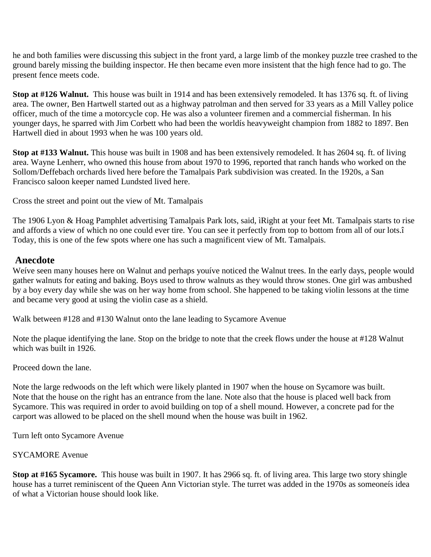he and both families were discussing this subject in the front yard, a large limb of the monkey puzzle tree crashed to the ground barely missing the building inspector. He then became even more insistent that the high fence had to go. The present fence meets code.

**Stop at #126 Walnut.** This house was built in 1914 and has been extensively remodeled. It has 1376 sq. ft. of living area. The owner, Ben Hartwell started out as a highway patrolman and then served for 33 years as a Mill Valley police officer, much of the time a motorcycle cop. He was also a volunteer firemen and a commercial fisherman. In his younger days, he sparred with Jim Corbett who had been the worldís heavyweight champion from 1882 to 1897. Ben Hartwell died in about 1993 when he was 100 years old.

**Stop at #133 Walnut.** This house was built in 1908 and has been extensively remodeled. It has 2604 sq. ft. of living area. Wayne Lenherr, who owned this house from about 1970 to 1996, reported that ranch hands who worked on the Sollom/Deffebach orchards lived here before the Tamalpais Park subdivision was created. In the 1920s, a San Francisco saloon keeper named Lundsted lived here.

Cross the street and point out the view of Mt. Tamalpais

The 1906 Lyon & Hoag Pamphlet advertising Tamalpais Park lots, said, ìRight at your feet Mt. Tamalpais starts to rise and affords a view of which no one could ever tire. You can see it perfectly from top to bottom from all of our lots.î Today, this is one of the few spots where one has such a magnificent view of Mt. Tamalpais.

# **Anecdote**

Weíve seen many houses here on Walnut and perhaps youíve noticed the Walnut trees. In the early days, people would gather walnuts for eating and baking. Boys used to throw walnuts as they would throw stones. One girl was ambushed by a boy every day while she was on her way home from school. She happened to be taking violin lessons at the time and became very good at using the violin case as a shield.

Walk between #128 and #130 Walnut onto the lane leading to Sycamore Avenue

Note the plaque identifying the lane. Stop on the bridge to note that the creek flows under the house at #128 Walnut which was built in 1926.

Proceed down the lane.

Note the large redwoods on the left which were likely planted in 1907 when the house on Sycamore was built. Note that the house on the right has an entrance from the lane. Note also that the house is placed well back from Sycamore. This was required in order to avoid building on top of a shell mound. However, a concrete pad for the carport was allowed to be placed on the shell mound when the house was built in 1962.

Turn left onto Sycamore Avenue

# SYCAMORE Avenue

**Stop at #165 Sycamore.** This house was built in 1907. It has 2966 sq. ft. of living area. This large two story shingle house has a turret reminiscent of the Queen Ann Victorian style. The turret was added in the 1970s as someoneís idea of what a Victorian house should look like.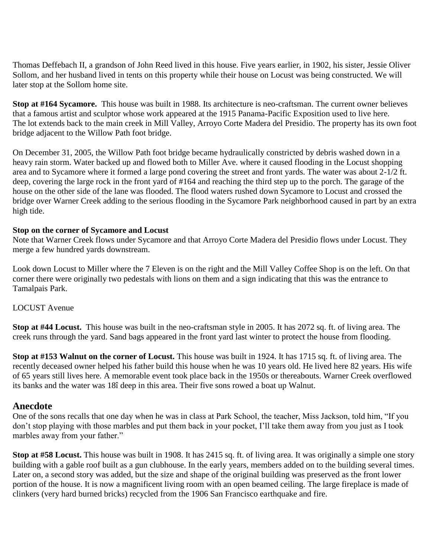Thomas Deffebach II, a grandson of John Reed lived in this house. Five years earlier, in 1902, his sister, Jessie Oliver Sollom, and her husband lived in tents on this property while their house on Locust was being constructed. We will later stop at the Sollom home site.

**Stop at #164 Sycamore.** This house was built in 1988. Its architecture is neo-craftsman. The current owner believes that a famous artist and sculptor whose work appeared at the 1915 Panama-Pacific Exposition used to live here. The lot extends back to the main creek in Mill Valley, Arroyo Corte Madera del Presidio. The property has its own foot bridge adjacent to the Willow Path foot bridge.

On December 31, 2005, the Willow Path foot bridge became hydraulically constricted by debris washed down in a heavy rain storm. Water backed up and flowed both to Miller Ave. where it caused flooding in the Locust shopping area and to Sycamore where it formed a large pond covering the street and front yards. The water was about 2-1/2 ft. deep, covering the large rock in the front yard of #164 and reaching the third step up to the porch. The garage of the house on the other side of the lane was flooded. The flood waters rushed down Sycamore to Locust and crossed the bridge over Warner Creek adding to the serious flooding in the Sycamore Park neighborhood caused in part by an extra high tide.

#### **Stop on the corner of Sycamore and Locust**

Note that Warner Creek flows under Sycamore and that Arroyo Corte Madera del Presidio flows under Locust. They merge a few hundred yards downstream.

Look down Locust to Miller where the 7 Eleven is on the right and the Mill Valley Coffee Shop is on the left. On that corner there were originally two pedestals with lions on them and a sign indicating that this was the entrance to Tamalpais Park.

#### LOCUST Avenue

**Stop at #44 Locust.** This house was built in the neo-craftsman style in 2005. It has 2072 sq. ft. of living area. The creek runs through the yard. Sand bags appeared in the front yard last winter to protect the house from flooding.

**Stop at #153 Walnut on the corner of Locust.** This house was built in 1924. It has 1715 sq. ft. of living area. The recently deceased owner helped his father build this house when he was 10 years old. He lived here 82 years. His wife of 65 years still lives here. A memorable event took place back in the 1950s or thereabouts. Warner Creek overflowed its banks and the water was 18î deep in this area. Their five sons rowed a boat up Walnut.

#### **Anecdote**

One of the sons recalls that one day when he was in class at Park School, the teacher, Miss Jackson, told him, "If you don't stop playing with those marbles and put them back in your pocket, I'll take them away from you just as I took marbles away from your father."

**Stop at #58 Locust.** This house was built in 1908. It has 2415 sq. ft. of living area. It was originally a simple one story building with a gable roof built as a gun clubhouse. In the early years, members added on to the building several times. Later on, a second story was added, but the size and shape of the original building was preserved as the front lower portion of the house. It is now a magnificent living room with an open beamed ceiling. The large fireplace is made of clinkers (very hard burned bricks) recycled from the 1906 San Francisco earthquake and fire.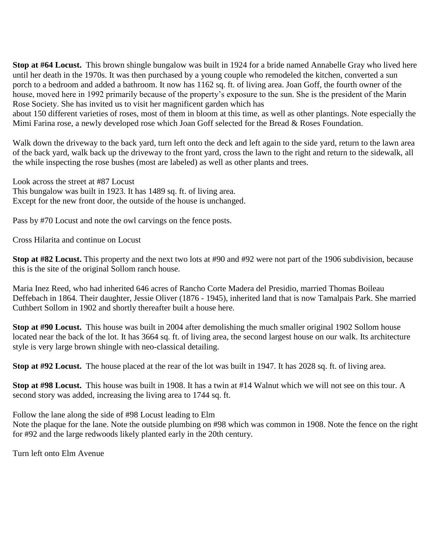**Stop at #64 Locust.** This brown shingle bungalow was built in 1924 for a bride named Annabelle Gray who lived here until her death in the 1970s. It was then purchased by a young couple who remodeled the kitchen, converted a sun porch to a bedroom and added a bathroom. It now has 1162 sq. ft. of living area. Joan Goff, the fourth owner of the house, moved here in 1992 primarily because of the property's exposure to the sun. She is the president of the Marin Rose Society. She has invited us to visit her magnificent garden which has

about 150 different varieties of roses, most of them in bloom at this time, as well as other plantings. Note especially the Mimi Farina rose, a newly developed rose which Joan Goff selected for the Bread & Roses Foundation.

Walk down the driveway to the back yard, turn left onto the deck and left again to the side yard, return to the lawn area of the back yard, walk back up the driveway to the front yard, cross the lawn to the right and return to the sidewalk, all the while inspecting the rose bushes (most are labeled) as well as other plants and trees.

Look across the street at #87 Locust This bungalow was built in 1923. It has 1489 sq. ft. of living area. Except for the new front door, the outside of the house is unchanged.

Pass by #70 Locust and note the owl carvings on the fence posts.

Cross Hilarita and continue on Locust

**Stop at #82 Locust.** This property and the next two lots at #90 and #92 were not part of the 1906 subdivision, because this is the site of the original Sollom ranch house.

Maria Inez Reed, who had inherited 646 acres of Rancho Corte Madera del Presidio, married Thomas Boileau Deffebach in 1864. Their daughter, Jessie Oliver (1876 - 1945), inherited land that is now Tamalpais Park. She married Cuthbert Sollom in 1902 and shortly thereafter built a house here.

**Stop at #90 Locust.** This house was built in 2004 after demolishing the much smaller original 1902 Sollom house located near the back of the lot. It has 3664 sq. ft. of living area, the second largest house on our walk. Its architecture style is very large brown shingle with neo-classical detailing.

**Stop at #92 Locust.** The house placed at the rear of the lot was built in 1947. It has 2028 sq. ft. of living area.

**Stop at #98 Locust.** This house was built in 1908. It has a twin at #14 Walnut which we will not see on this tour. A second story was added, increasing the living area to 1744 sq. ft.

Follow the lane along the side of #98 Locust leading to Elm Note the plaque for the lane. Note the outside plumbing on #98 which was common in 1908. Note the fence on the right for #92 and the large redwoods likely planted early in the 20th century.

Turn left onto Elm Avenue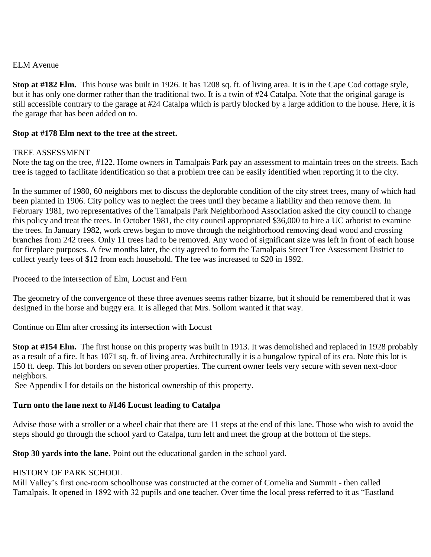## ELM Avenue

**Stop at #182 Elm.** This house was built in 1926. It has 1208 sq. ft. of living area. It is in the Cape Cod cottage style, but it has only one dormer rather than the traditional two. It is a twin of #24 Catalpa. Note that the original garage is still accessible contrary to the garage at #24 Catalpa which is partly blocked by a large addition to the house. Here, it is the garage that has been added on to.

#### **Stop at #178 Elm next to the tree at the street.**

## TREE ASSESSMENT

Note the tag on the tree, #122. Home owners in Tamalpais Park pay an assessment to maintain trees on the streets. Each tree is tagged to facilitate identification so that a problem tree can be easily identified when reporting it to the city.

In the summer of 1980, 60 neighbors met to discuss the deplorable condition of the city street trees, many of which had been planted in 1906. City policy was to neglect the trees until they became a liability and then remove them. In February 1981, two representatives of the Tamalpais Park Neighborhood Association asked the city council to change this policy and treat the trees. In October 1981, the city council appropriated \$36,000 to hire a UC arborist to examine the trees. In January 1982, work crews began to move through the neighborhood removing dead wood and crossing branches from 242 trees. Only 11 trees had to be removed. Any wood of significant size was left in front of each house for fireplace purposes. A few months later, the city agreed to form the Tamalpais Street Tree Assessment District to collect yearly fees of \$12 from each household. The fee was increased to \$20 in 1992.

Proceed to the intersection of Elm, Locust and Fern

The geometry of the convergence of these three avenues seems rather bizarre, but it should be remembered that it was designed in the horse and buggy era. It is alleged that Mrs. Sollom wanted it that way.

Continue on Elm after crossing its intersection with Locust

**Stop at #154 Elm.** The first house on this property was built in 1913. It was demolished and replaced in 1928 probably as a result of a fire. It has 1071 sq. ft. of living area. Architecturally it is a bungalow typical of its era. Note this lot is 150 ft. deep. This lot borders on seven other properties. The current owner feels very secure with seven next-door neighbors.

See Appendix I for details on the historical ownership of this property.

# **Turn onto the lane next to #146 Locust leading to Catalpa**

Advise those with a stroller or a wheel chair that there are 11 steps at the end of this lane. Those who wish to avoid the steps should go through the school yard to Catalpa, turn left and meet the group at the bottom of the steps.

**Stop 30 yards into the lane.** Point out the educational garden in the school yard.

# HISTORY OF PARK SCHOOL

Mill Valley's first one-room schoolhouse was constructed at the corner of Cornelia and Summit - then called Tamalpais. It opened in 1892 with 32 pupils and one teacher. Over time the local press referred to it as "Eastland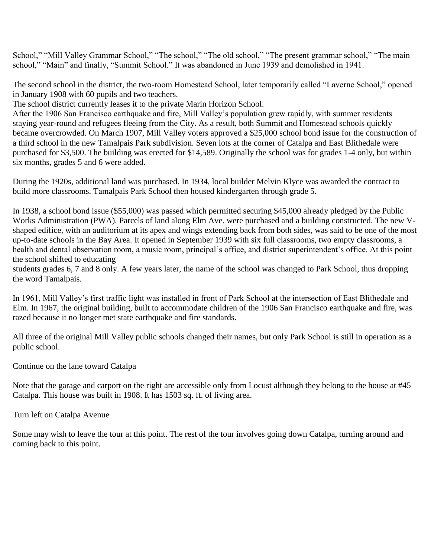School," "Mill Valley Grammar School," "The school," "The old school," "The present grammar school," "The main school," "Main" and finally, "Summit School." It was abandoned in June 1939 and demolished in 1941.

The second school in the district, the two-room Homestead School, later temporarily called "Laverne School," opened in January 1908 with 60 pupils and two teachers.

The school district currently leases it to the private Marin Horizon School.

After the 1906 San Francisco earthquake and fire, Mill Valley's population grew rapidly, with summer residents staying year-round and refugees fleeing from the City. As a result, both Summit and Homestead schools quickly became overcrowded. On March 1907, Mill Valley voters approved a \$25,000 school bond issue for the construction of a third school in the new Tamalpais Park subdivision. Seven lots at the corner of Catalpa and East Blithedale were purchased for \$3,500. The building was erected for \$14,589. Originally the school was for grades 1-4 only, but within six months, grades 5 and 6 were added.

During the 1920s, additional land was purchased. In 1934, local builder Melvin Klyce was awarded the contract to build more classrooms. Tamalpais Park School then housed kindergarten through grade 5.

In 1938, a school bond issue (\$55,000) was passed which permitted securing \$45,000 already pledged by the Public Works Administration (PWA). Parcels of land along Elm Ave. were purchased and a building constructed. The new Vshaped edifice, with an auditorium at its apex and wings extending back from both sides, was said to be one of the most up-to-date schools in the Bay Area. It opened in September 1939 with six full classrooms, two empty classrooms, a health and dental observation room, a music room, principal's office, and district superintendent's office. At this point the school shifted to educating

students grades 6, 7 and 8 only. A few years later, the name of the school was changed to Park School, thus dropping the word Tamalpais.

In 1961, Mill Valley's first traffic light was installed in front of Park School at the intersection of East Blithedale and Elm. In 1967, the original building, built to accommodate children of the 1906 San Francisco earthquake and fire, was razed because it no longer met state earthquake and fire standards.

All three of the original Mill Valley public schools changed their names, but only Park School is still in operation as a public school.

Continue on the lane toward Catalpa

Note that the garage and carport on the right are accessible only from Locust although they belong to the house at #45 Catalpa. This house was built in 1908. It has 1503 sq. ft. of living area.

Turn left on Catalpa Avenue

Some may wish to leave the tour at this point. The rest of the tour involves going down Catalpa, turning around and coming back to this point.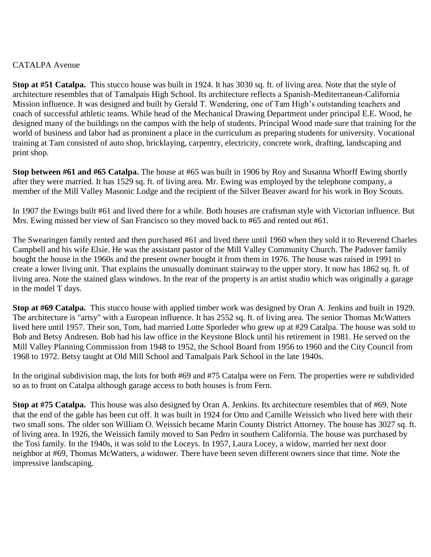## CATALPA Avenue

**Stop at #51 Catalpa.** This stucco house was built in 1924. It has 3030 sq. ft. of living area. Note that the style of architecture resembles that of Tamalpais High School. Its architecture reflects a Spanish-Mediterranean-California Mission influence. It was designed and built by Gerald T. Wendering, one of Tam High's outstanding teachers and coach of successful athletic teams. While head of the Mechanical Drawing Department under principal E.E. Wood, he designed many of the buildings on the campus with the help of students. Principal Wood made sure that training for the world of business and labor had as prominent a place in the curriculum as preparing students for university. Vocational training at Tam consisted of auto shop, bricklaying, carpentry, electricity, concrete work, drafting, landscaping and print shop.

**Stop between #61 and #65 Catalpa.** The house at #65 was built in 1906 by Roy and Susanna Whorff Ewing shortly after they were married. It has 1529 sq. ft. of living area. Mr. Ewing was employed by the telephone company, a member of the Mill Valley Masonic Lodge and the recipient of the Silver Beaver award for his work in Boy Scouts.

In 1907 the Ewings built #61 and lived there for a while. Both houses are craftsman style with Victorian influence. But Mrs. Ewing missed her view of San Francisco so they moved back to #65 and rented out #61.

The Swearingen family rented and then purchased #61 and lived there until 1960 when they sold it to Reverend Charles Campbell and his wife Elsie. He was the assistant pastor of the Mill Valley Community Church. The Padover family bought the house in the 1960s and the present owner bought it from them in 1976. The house was raised in 1991 to create a lower living unit. That explains the unusually dominant stairway to the upper story. It now has 1862 sq. ft. of living area. Note the stained glass windows. In the rear of the property is an artist studio which was originally a garage in the model T days.

**Stop at #69 Catalpa.** This stucco house with applied timber work was designed by Oran A. Jenkins and built in 1929. The architecture is "artsy" with a European influence. It has 2552 sq. ft. of living area. The senior Thomas McWatters lived here until 1957. Their son, Tom, had married Lotte Sporleder who grew up at #29 Catalpa. The house was sold to Bob and Betsy Andresen. Bob had his law office in the Keystone Block until his retirement in 1981. He served on the Mill Valley Planning Commission from 1948 to 1952, the School Board from 1956 to 1960 and the City Council from 1968 to 1972. Betsy taught at Old Mill School and Tamalpais Park School in the late 1940s.

In the original subdivision map, the lots for both #69 and #75 Catalpa were on Fern. The properties were re subdivided so as to front on Catalpa although garage access to both houses is from Fern.

**Stop at #75 Catalpa.** This house was also designed by Oran A. Jenkins. Its architecture resembles that of #69. Note that the end of the gable has been cut off. It was built in 1924 for Otto and Camille Weissich who lived here with their two small sons. The older son William O. Weissich became Marin County District Attorney. The house has 3027 sq. ft. of living area. In 1926, the Weissich family moved to San Pedro in southern California. The house was purchased by the Tosi family. In the 1940s, it was sold to the Loceys. In 1957, Laura Locey, a widow, married her next door neighbor at #69, Thomas McWatters, a widower. There have been seven different owners since that time. Note the impressive landscaping.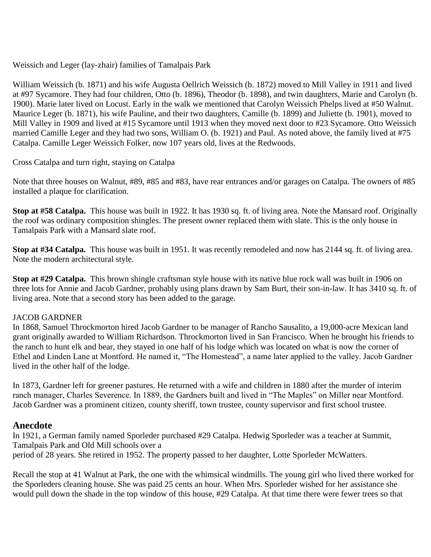Weissich and Leger (lay-zhair) families of Tamalpais Park

William Weissich (b. 1871) and his wife Augusta Oellrich Weissich (b. 1872) moved to Mill Valley in 1911 and lived at #97 Sycamore. They had four children, Otto (b. 1896), Theodor (b. 1898), and twin daughters, Marie and Carolyn (b. 1900). Marie later lived on Locust. Early in the walk we mentioned that Carolyn Weissich Phelps lived at #50 Walnut. Maurice Leger (b. 1871), his wife Pauline, and their two daughters, Camille (b. 1899) and Juliette (b. 1901), moved to Mill Valley in 1909 and lived at #15 Sycamore until 1913 when they moved next door to #23 Sycamore. Otto Weissich married Camille Leger and they had two sons, William O. (b. 1921) and Paul. As noted above, the family lived at #75 Catalpa. Camille Leger Weissich Folker, now 107 years old, lives at the Redwoods.

Cross Catalpa and turn right, staying on Catalpa

Note that three houses on Walnut, #89, #85 and #83, have rear entrances and/or garages on Catalpa. The owners of #85 installed a plaque for clarification.

**Stop at #58 Catalpa.** This house was built in 1922. It has 1930 sq. ft. of living area. Note the Mansard roof. Originally the roof was ordinary composition shingles. The present owner replaced them with slate. This is the only house in Tamalpais Park with a Mansard slate roof.

**Stop at #34 Catalpa.** This house was built in 1951. It was recently remodeled and now has 2144 sq. ft. of living area. Note the modern architectural style.

**Stop at #29 Catalpa.** This brown shingle craftsman style house with its native blue rock wall was built in 1906 on three lots for Annie and Jacob Gardner, probably using plans drawn by Sam Burt, their son-in-law. It has 3410 sq. ft. of living area. Note that a second story has been added to the garage.

#### JACOB GARDNER

In 1868, Samuel Throckmorton hired Jacob Gardner to be manager of Rancho Sausalito, a 19,000-acre Mexican land grant originally awarded to William Richardson. Throckmorton lived in San Francisco. When he brought his friends to the ranch to hunt elk and bear, they stayed in one half of his lodge which was located on what is now the corner of Ethel and Linden Lane at Montford. He named it, "The Homestead", a name later applied to the valley. Jacob Gardner lived in the other half of the lodge.

In 1873, Gardner left for greener pastures. He returned with a wife and children in 1880 after the murder of interim ranch manager, Charles Severence. In 1889, the Gardners built and lived in "The Maples" on Miller near Montford. Jacob Gardner was a prominent citizen, county sheriff, town trustee, county supervisor and first school trustee.

# **Anecdote**

In 1921, a German family named Sporleder purchased #29 Catalpa. Hedwig Sporleder was a teacher at Summit, Tamalpais Park and Old Mill schools over a period of 28 years. She retired in 1952. The property passed to her daughter, Lotte Sporleder McWatters.

Recall the stop at 41 Walnut at Park, the one with the whimsical windmills. The young girl who lived there worked for the Sporleders cleaning house. She was paid 25 cents an hour. When Mrs. Sporleder wished for her assistance she would pull down the shade in the top window of this house, #29 Catalpa. At that time there were fewer trees so that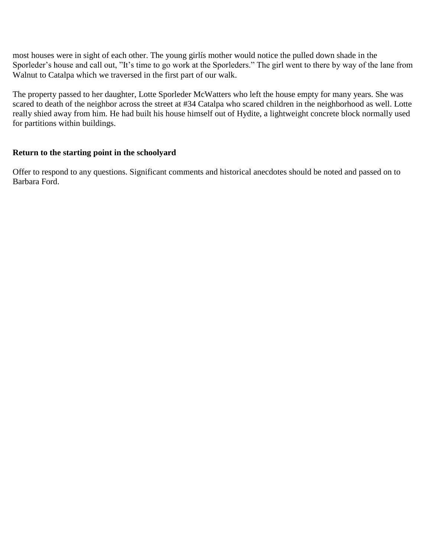most houses were in sight of each other. The young girlís mother would notice the pulled down shade in the Sporleder's house and call out, "It's time to go work at the Sporleders." The girl went to there by way of the lane from Walnut to Catalpa which we traversed in the first part of our walk.

The property passed to her daughter, Lotte Sporleder McWatters who left the house empty for many years. She was scared to death of the neighbor across the street at #34 Catalpa who scared children in the neighborhood as well. Lotte really shied away from him. He had built his house himself out of Hydite, a lightweight concrete block normally used for partitions within buildings.

## **Return to the starting point in the schoolyard**

Offer to respond to any questions. Significant comments and historical anecdotes should be noted and passed on to Barbara Ford.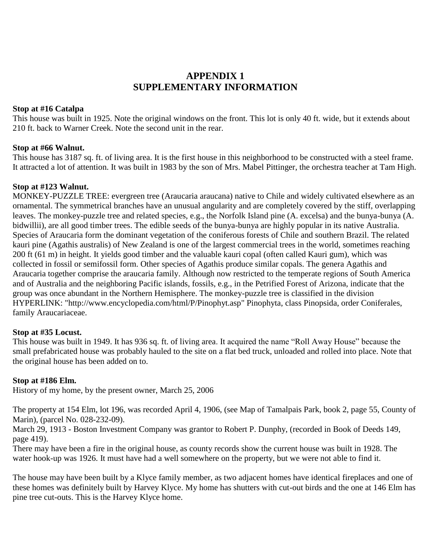# **APPENDIX 1 SUPPLEMENTARY INFORMATION**

#### **Stop at #16 Catalpa**

This house was built in 1925. Note the original windows on the front. This lot is only 40 ft. wide, but it extends about 210 ft. back to Warner Creek. Note the second unit in the rear.

#### **Stop at #66 Walnut.**

This house has 3187 sq. ft. of living area. It is the first house in this neighborhood to be constructed with a steel frame. It attracted a lot of attention. It was built in 1983 by the son of Mrs. Mabel Pittinger, the orchestra teacher at Tam High.

#### **Stop at #123 Walnut.**

MONKEY-PUZZLE TREE: evergreen tree (Araucaria araucana) native to Chile and widely cultivated elsewhere as an ornamental. The symmetrical branches have an unusual angularity and are completely covered by the stiff, overlapping leaves. The monkey-puzzle tree and related species, e.g., the Norfolk Island pine (A. excelsa) and the bunya-bunya (A. bidwillii), are all good timber trees. The edible seeds of the bunya-bunya are highly popular in its native Australia. Species of Araucaria form the dominant vegetation of the coniferous forests of Chile and southern Brazil. The related kauri pine (Agathis australis) of New Zealand is one of the largest commercial trees in the world, sometimes reaching 200 ft (61 m) in height. It yields good timber and the valuable kauri copal (often called Kauri gum), which was collected in fossil or semifossil form. Other species of Agathis produce similar copals. The genera Agathis and Araucaria together comprise the araucaria family. Although now restricted to the temperate regions of South America and of Australia and the neighboring Pacific islands, fossils, e.g., in the Petrified Forest of Arizona, indicate that the group was once abundant in the Northern Hemisphere. The monkey-puzzle tree is classified in the division HYPERLINK: "http://www.encyclopedia.com/html/P/Pinophyt.asp" Pinophyta, class Pinopsida, order Coniferales, family Araucariaceae.

#### **Stop at #35 Locust.**

This house was built in 1949. It has 936 sq. ft. of living area. It acquired the name "Roll Away House" because the small prefabricated house was probably hauled to the site on a flat bed truck, unloaded and rolled into place. Note that the original house has been added on to.

#### **Stop at #186 Elm.**

History of my home, by the present owner, March 25, 2006

The property at 154 Elm, lot 196, was recorded April 4, 1906, (see Map of Tamalpais Park, book 2, page 55, County of Marin), (parcel No. 028-232-09).

March 29, 1913 - Boston Investment Company was grantor to Robert P. Dunphy, (recorded in Book of Deeds 149, page 419).

There may have been a fire in the original house, as county records show the current house was built in 1928. The water hook-up was 1926. It must have had a well somewhere on the property, but we were not able to find it.

The house may have been built by a Klyce family member, as two adjacent homes have identical fireplaces and one of these homes was definitely built by Harvey Klyce. My home has shutters with cut-out birds and the one at 146 Elm has pine tree cut-outs. This is the Harvey Klyce home.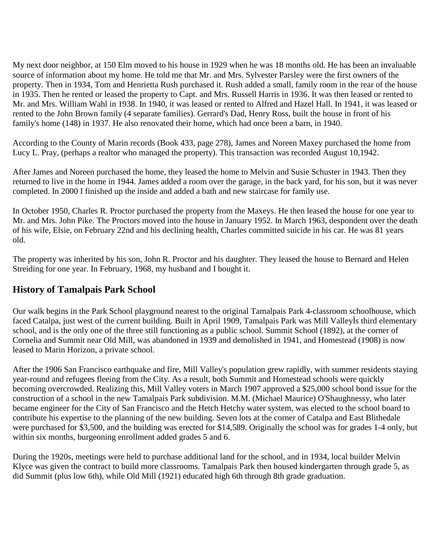My next door neighbor, at 150 Elm moved to his house in 1929 when he was 18 months old. He has been an invaluable source of information about my home. He told me that Mr. and Mrs. Sylvester Parsley were the first owners of the property. Then in 1934, Tom and Henrietta Rush purchased it. Rush added a small, family room in the rear of the house in 1935. Then he rented or leased the property to Capt. and Mrs. Russell Harris in 1936. It was then leased or rented to Mr. and Mrs. William Wahl in 1938. In 1940, it was leased or rented to Alfred and Hazel Hall. In 1941, it was leased or rented to the John Brown family (4 separate families). Gerrard's Dad, Henry Ross, built the house in front of his family's home (148) in 1937. He also renovated their home, which had once been a barn, in 1940.

According to the County of Marin records (Book 433, page 278), James and Noreen Maxey purchased the home from Lucy L. Pray, (perhaps a realtor who managed the property). This transaction was recorded August 10,1942.

After James and Noreen purchased the home, they leased the home to Melvin and Susie Schuster in 1943. Then they returned to live in the home in 1944. James added a room over the garage, in the back yard, for his son, but it was never completed. In 2000 I finished up the inside and added a bath and new staircase for family use.

In October 1950, Charles R. Proctor purchased the property from the Maxeys. He then leased the house for one year to Mr. and Mrs. John Pike. The Proctors moved into the house in January 1952. In March 1963, despondent over the death of his wife, Elsie, on February 22nd and his declining health, Charles committed suicide in his car. He was 81 years old.

The property was inherited by his son, John R. Proctor and his daughter. They leased the house to Bernard and Helen Streiding for one year. In February, 1968, my husband and I bought it.

# **History of Tamalpais Park School**

Our walk begins in the Park School playground nearest to the original Tamalpais Park 4-classroom schoolhouse, which faced Catalpa, just west of the current building. Built in April 1909, Tamalpais Park was Mill ValleyÌs third elementary school, and is the only one of the three still functioning as a public school. Summit School (1892), at the corner of Cornelia and Summit near Old Mill, was abandoned in 1939 and demolished in 1941, and Homestead (1908) is now leased to Marin Horizon, a private school.

After the 1906 San Francisco earthquake and fire, Mill Valley's population grew rapidly, with summer residents staying year-round and refugees fleeing from the City. As a result, both Summit and Homestead schools were quickly becoming overcrowded. Realizing this, Mill Valley voters in March 1907 approved a \$25,000 school bond issue for the construction of a school in the new Tamalpais Park subdivision. M.M. (Michael Maurice) O'Shaughnessy, who later became engineer for the City of San Francisco and the Hetch Hetchy water system, was elected to the school board to contribute his expertise to the planning of the new building. Seven lots at the corner of Catalpa and East Blithedale were purchased for \$3,500, and the building was erected for \$14,589. Originally the school was for grades 1-4 only, but within six months, burgeoning enrollment added grades 5 and 6.

During the 1920s, meetings were held to purchase additional land for the school, and in 1934, local builder Melvin Klyce was given the contract to build more classrooms. Tamalpais Park then housed kindergarten through grade 5, as did Summit (plus low 6th), while Old Mill (1921) educated high 6th through 8th grade graduation.